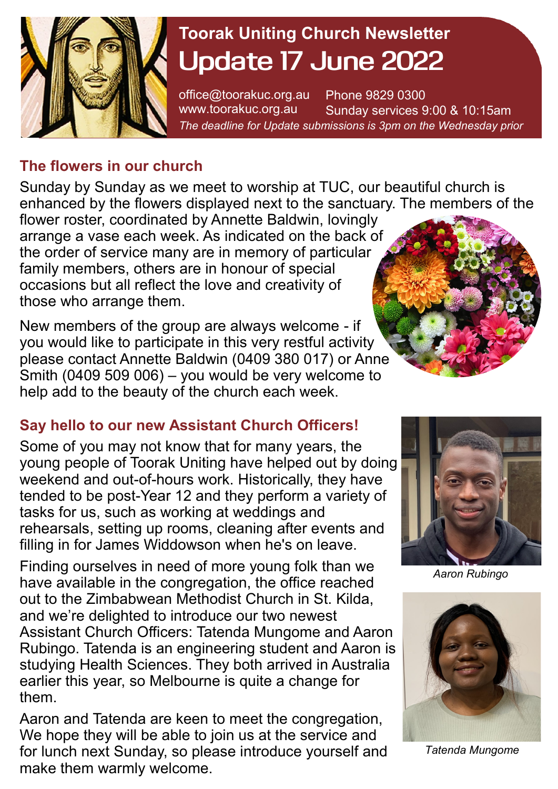

# **Toorak Uniting Church Newsletter Update 17 June 2022**

office@toorakuc.org.au www.toorakuc.org.au Phone 9829 0300 Sunday services 9:00 & 10:15am *The deadline for Update submissions is 3pm on the Wednesday prior* 

#### **The flowers in our church**

Sunday by Sunday as we meet to worship at TUC, our beautiful church is enhanced by the flowers displayed next to the sanctuary. The members of the

flower roster, coordinated by Annette Baldwin, lovingly arrange a vase each week. As indicated on the back of the order of service many are in memory of particular family members, others are in honour of special occasions but all reflect the love and creativity of those who arrange them.

New members of the group are always welcome - if you would like to participate in this very restful activity please contact Annette Baldwin (0409 380 017) or Anne Smith (0409 509 006) – you would be very welcome to help add to the beauty of the church each week.

### **Say hello to our new Assistant Church Officers!**

Some of you may not know that for many years, the young people of Toorak Uniting have helped out by doing weekend and out-of-hours work. Historically, they have tended to be post-Year 12 and they perform a variety of tasks for us, such as working at weddings and rehearsals, setting up rooms, cleaning after events and filling in for James Widdowson when he's on leave.

Finding ourselves in need of more young folk than we have available in the congregation, the office reached out to the Zimbabwean Methodist Church in St. Kilda, and we're delighted to introduce our two newest Assistant Church Officers: Tatenda Mungome and Aaron Rubingo. Tatenda is an engineering student and Aaron is studying Health Sciences. They both arrived in Australia earlier this year, so Melbourne is quite a change for them.

Aaron and Tatenda are keen to meet the congregation, We hope they will be able to join us at the service and for lunch next Sunday, so please introduce yourself and make them warmly welcome.





*Aaron Rubingo*



*Tatenda Mungome*